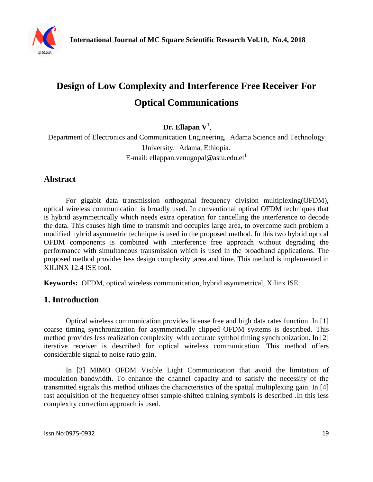

# **Design of Low Complexity and Interference Free Receiver For Optical Communications**

**Dr. Ellapan V**<sup>1</sup> ,

Department of Electronics and Communication Engineering, Adama Science and Technology University, Adama, Ethiopia. E-mail: ellappan.venugopal@astu.edu.et<sup>1</sup>

# **Abstract**

For gigabit data transmission orthogonal frequency division multiplexing(OFDM), optical wireless communication is broadly used. In conventional optical OFDM techniques that is hybrid asymmetrically which needs extra operation for cancelling the interference to decode the data. This causes high time to transmit and occupies large area, to overcome such problem a modified hybrid asymmetric technique is used in the proposed method. In this two hybrid optical OFDM components is combined with interference free approach without degrading the performance with simultaneous transmission which is used in the broadband applications. The proposed method provides less design complexity ,area and time. This method is implemented in XILINX 12.4 ISE tool.

**Keywords:** OFDM, optical wireless communication, hybrid asymmetrical, Xilinx ISE.

# **1. Introduction**

Optical wireless communication provides license free and high data rates function. In [1] coarse timing synchronization for asymmetrically clipped OFDM systems is described. This method provides less realization complexity with accurate symbol timing synchronization. In [2] iterative receiver is described for optical wireless communication. This method offers considerable signal to noise ratio gain.

In [3] MIMO OFDM Visible Light Communication that avoid the limitation of modulation bandwidth. To enhance the channel capacity and to satisfy the necessity of the transmitted signals this method utilizes the characteristics of the spatial multiplexing gain. In [4] fast acquisition of the frequency offset sample-shifted training symbols is described .In this less complexity correction approach is used.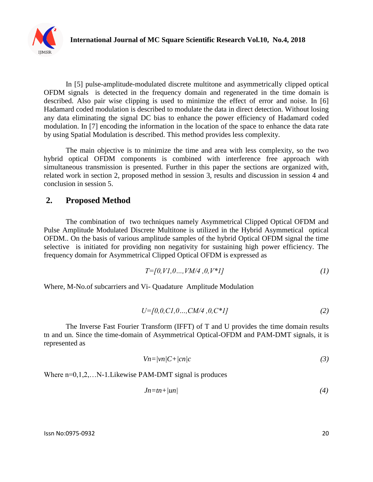

In [5] pulse-amplitude-modulated discrete multitone and asymmetrically clipped optical OFDM signals is detected in the frequency domain and regenerated in the time domain is described. Also pair wise clipping is used to minimize the effect of error and noise. In [6] Hadamard coded modulation is described to modulate the data in direct detection. Without losing any data eliminating the signal DC bias to enhance the power efficiency of Hadamard coded modulation. In [7] encoding the information in the location of the space to enhance the data rate by using Spatial Modulation is described. This method provides less complexity.

The main objective is to minimize the time and area with less complexity, so the two hybrid optical OFDM components is combined with interference free approach with simultaneous transmission is presented. Further in this paper the sections are organized with, related work in section 2, proposed method in session 3, results and discussion in session 4 and conclusion in session 5.

# **2. Proposed Method**

The combination of two techniques namely Asymmetrical Clipped Optical OFDM and Pulse Amplitude Modulated Discrete Multitone is utilized in the Hybrid Asymmetical optical OFDM.. On the basis of various amplitude samples of the hybrid Optical OFDM signal the time selective is initiated for providing non negativity for sustaining high power efficiency. The frequency domain for Asymmetrical Clipped Optical OFDM is expressed as

$$
T=[0, V1, 0..., VM/4, 0, V^*1]
$$
\n
$$
(1)
$$

Where, M-No.of subcarriers and Vi- Quadature Amplitude Modulation

$$
U=[0,0,C1,0...,CM/4,0,C^*1]
$$
\n(2)

The Inverse Fast Fourier Transform (IFFT) of T and U provides the time domain results tn and un. Since the time-domain of Asymmetrical Optical-OFDM and PAM-DMT signals, it is represented as

$$
Vn = |vn|C + |cn|c \tag{3}
$$

Where  $n=0,1,2,...N-1$ . Likewise PAM-DMT signal is produces

$$
Jn = tn + |un| \tag{4}
$$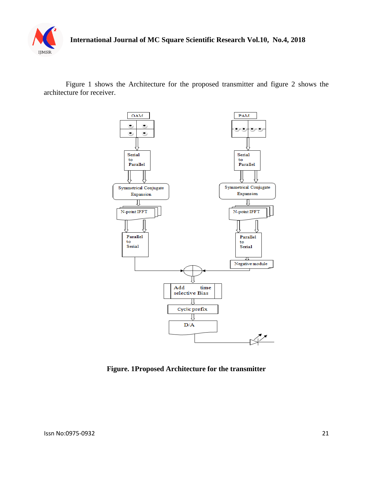

Figure 1 shows the Architecture for the proposed transmitter and figure 2 shows the architecture for receiver.



**Figure. 1Proposed Architecture for the transmitter**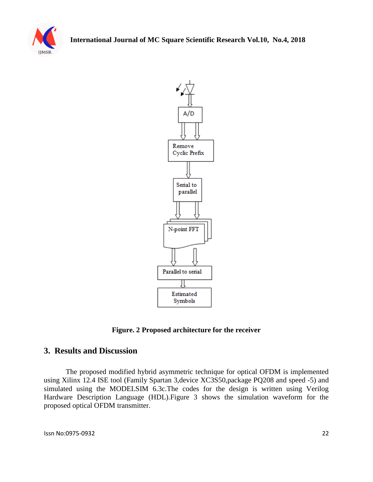



**Figure. 2 Proposed architecture for the receiver**

# **3. Results and Discussion**

The proposed modified hybrid asymmetric technique for optical OFDM is implemented using Xilinx 12.4 ISE tool (Family Spartan 3,device XC3S50,package PQ208 and speed -5) and simulated using the MODELSIM 6.3c.The codes for the design is written using Verilog Hardware Description Language (HDL).Figure 3 shows the simulation waveform for the proposed optical OFDM transmitter.

Issn No:0975-0932 22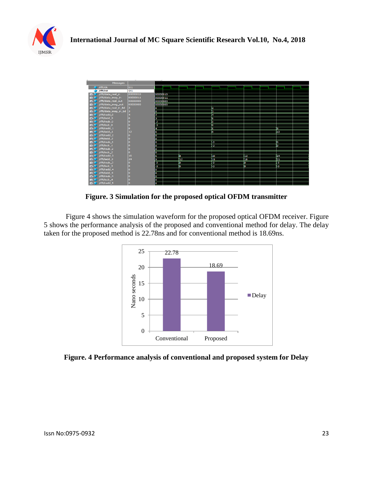



**Figure. 3 Simulation for the proposed optical OFDM transmitter** 

Figure 4 shows the simulation waveform for the proposed optical OFDM receiver. Figure 5 shows the performance analysis of the proposed and conventional method for delay. The delay taken for the proposed method is 22.78ns and for conventional method is 18.69ns.



**Figure. 4 Performance analysis of conventional and proposed system for Delay**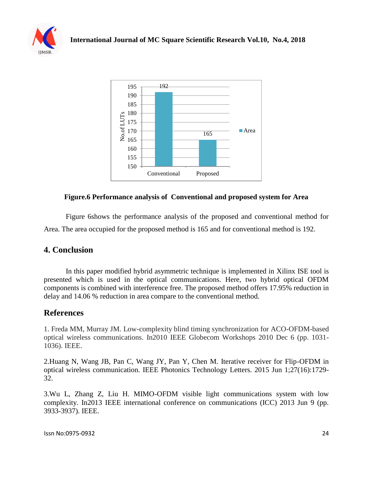



#### **Figure.6 Performance analysis of Conventional and proposed system for Area**

Figure 6shows the performance analysis of the proposed and conventional method for Area. The area occupied for the proposed method is 165 and for conventional method is 192.

# **4. Conclusion**

In this paper modified hybrid asymmetric technique is implemented in Xilinx ISE tool is presented which is used in the optical communications. Here, two hybrid optical OFDM components is combined with interference free. The proposed method offers 17.95% reduction in delay and 14.06 % reduction in area compare to the conventional method.

# **References**

1. Freda MM, Murray JM. Low-complexity blind timing synchronization for ACO-OFDM-based optical wireless communications. In2010 IEEE Globecom Workshops 2010 Dec 6 (pp. 1031- 1036). IEEE.

2.Huang N, Wang JB, Pan C, Wang JY, Pan Y, Chen M. Iterative receiver for Flip-OFDM in optical wireless communication. IEEE Photonics Technology Letters. 2015 Jun 1;27(16):1729- 32.

3.Wu L, Zhang Z, Liu H. MIMO-OFDM visible light communications system with low complexity. In2013 IEEE international conference on communications (ICC) 2013 Jun 9 (pp. 3933-3937). IEEE.

Issn No:0975-0932 24